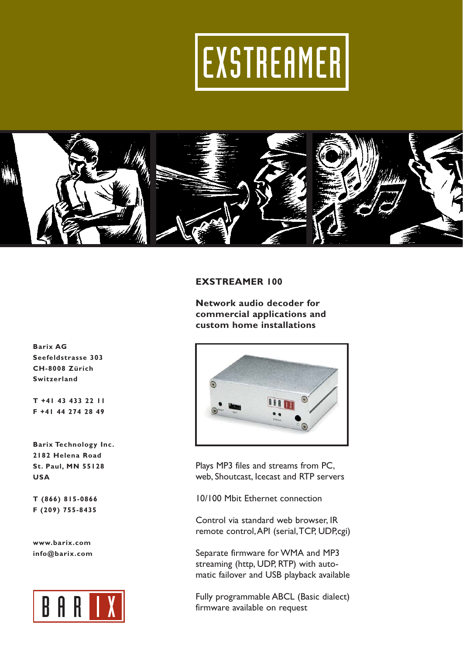# EXSTREAMER



# **EXSTREAMER 100**

**Network audio decoder for commercial applications and custom home installations**



Plays MP3 files and streams from PC, web, Shoutcast, Icecast and RTP servers

10/100 Mbit Ethernet connection

Control via standard web browser, IR remote control,API (serial,TCP, UDP,cgi)

Separate firmware for WMA and MP3 streaming (http, UDP, RTP) with automatic failover and USB playback available

Fully programmable ABCL (Basic dialect) firmware available on request

**Barix AG Seefeldstrasse 303 CH-8008 Zürich Switzerland**

**T +41 43 433 22 11 F +41 44 274 28 49**

**Barix Technology Inc. 2182 Helena Road St. Paul, MN 55128 USA**

**T (866) 815-0866 F (209) 755-8435**

**www.barix.com info@barix.com**